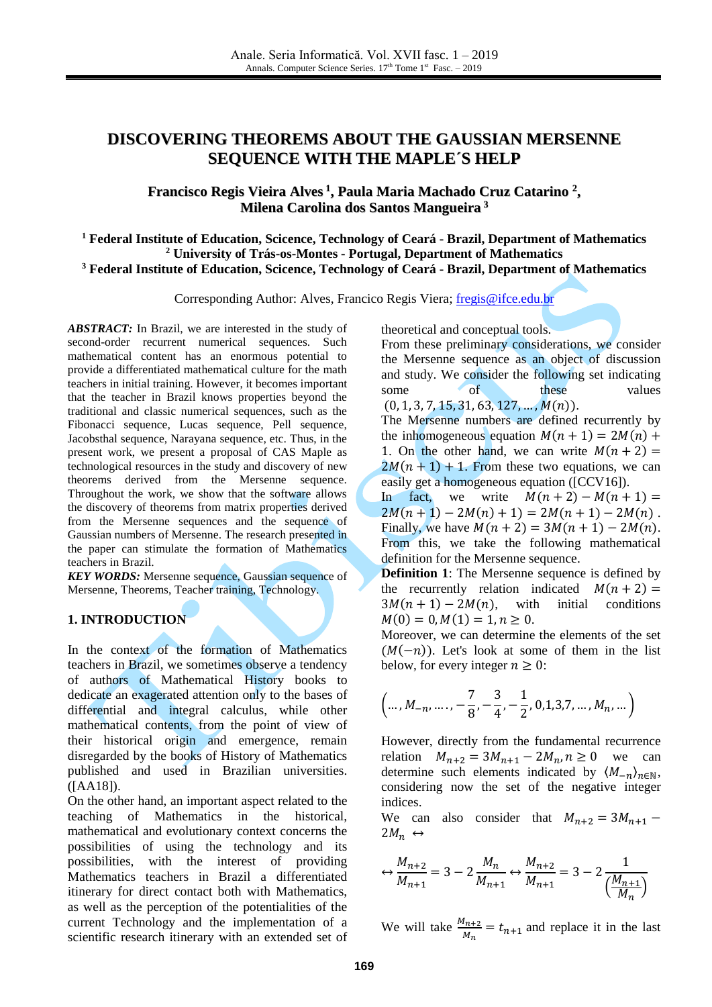# **DISCOVERING THEOREMS ABOUT THE GAUSSIAN MERSENNE SEQUENCE WITH THE MAPLE´S HELP**

# **Francisco Regis Vieira Alves 1 , Paula Maria Machado Cruz Catarino 2 , Milena Carolina dos Santos Mangueira 3**

**<sup>1</sup> Federal Institute of Education, Scicence, Technology of Ceará - Brazil, Department of Mathematics <sup>2</sup> University of Trás-os-Montes - Portugal, Department of Mathematics <sup>3</sup> Federal Institute of Education, Scicence, Technology of Ceará - Brazil, Department of Mathematics**

Corresponding Author: Alves, Francico Regis Viera; [fregis@ifce.edu.br](mailto:fregis@ifce.edu.br)

*ABSTRACT:* In Brazil, we are interested in the study of second-order recurrent numerical sequences. Such mathematical content has an enormous potential to provide a differentiated mathematical culture for the math teachers in initial training. However, it becomes important that the teacher in Brazil knows properties beyond the traditional and classic numerical sequences, such as the Fibonacci sequence, Lucas sequence, Pell sequence, Jacobsthal sequence, Narayana sequence, etc. Thus, in the present work, we present a proposal of CAS Maple as technological resources in the study and discovery of new theorems derived from the Mersenne sequence. Throughout the work, we show that the software allows the discovery of theorems from matrix properties derived from the Mersenne sequences and the sequence of Gaussian numbers of Mersenne. The research presented in the paper can stimulate the formation of Mathematics teachers in Brazil.

**KEY WORDS:** Mersenne sequence, Gaussian sequence of Mersenne, Theorems, Teacher training, Technology.

# **1. INTRODUCTION**

In the context of the formation of Mathematics teachers in Brazil, we sometimes observe a tendency of authors of Mathematical History books to dedicate an exagerated attention only to the bases of differential and integral calculus, while other mathematical contents, from the point of view of their historical origin and emergence, remain disregarded by the books of History of Mathematics published and used in Brazilian universities. ([AA18]).

On the other hand, an important aspect related to the teaching of Mathematics in the historical, mathematical and evolutionary context concerns the possibilities of using the technology and its possibilities, with the interest of providing Mathematics teachers in Brazil a differentiated itinerary for direct contact both with Mathematics, as well as the perception of the potentialities of the current Technology and the implementation of a scientific research itinerary with an extended set of theoretical and conceptual tools.

From these preliminary considerations, we consider the Mersenne sequence as an object of discussion and study. We consider the following set indicating some of these values  $(0, 1, 3, 7, 15, 31, 63, 127, \ldots, M(n)).$ 

The Mersenne numbers are defined recurrently by the inhomogeneous equation  $M(n + 1) = 2M(n) +$ 1. On the other hand, we can write  $M(n + 2) =$  $2M(n + 1) + 1$ . From these two equations, we can easily get a homogeneous equation ([CCV16]).

In fact, we write  $M(n + 2) - M(n + 1) =$  $2M(n + 1) - 2M(n) + 1 = 2M(n + 1) - 2M(n)$ . Finally, we have  $M(n + 2) = 3M(n + 1) - 2M(n)$ . From this, we take the following mathematical definition for the Mersenne sequence.

**Definition 1**: The Mersenne sequence is defined by the recurrently relation indicated  $M(n + 2) =$  $3M(n + 1) - 2M(n)$ , with initial conditions  $M(0) = 0, M(1) = 1, n \ge 0.$ 

Moreover, we can determine the elements of the set  $(M(-n))$ . Let's look at some of them in the list below, for every integer  $n \geq 0$ :

$$
\left(\ldots, M_{-n}, \ldots, -\frac{7}{8}, -\frac{3}{4}, -\frac{1}{2}, 0, 1, 3, 7, \ldots, M_n, \ldots\right)
$$

However, directly from the fundamental recurrence relation  $M_{n+2} = 3M_{n+1} - 2M_n$ ,  $n \ge 0$  we can determine such elements indicated by  $\langle M_{-n} \rangle_{n \in \mathbb{N}}$ , considering now the set of the negative integer indices.

We can also consider that  $M_{n+2} = 3M_{n+1}$  –  $2M_n \leftrightarrow$ 

$$
\leftrightarrow \frac{M_{n+2}}{M_{n+1}} = 3 - 2\frac{M_n}{M_{n+1}} \leftrightarrow \frac{M_{n+2}}{M_{n+1}} = 3 - 2\frac{1}{\left(\frac{M_{n+1}}{M_n}\right)}
$$

We will take  $\frac{M_{n+2}}{M_n} = t_{n+1}$  and replace it in the last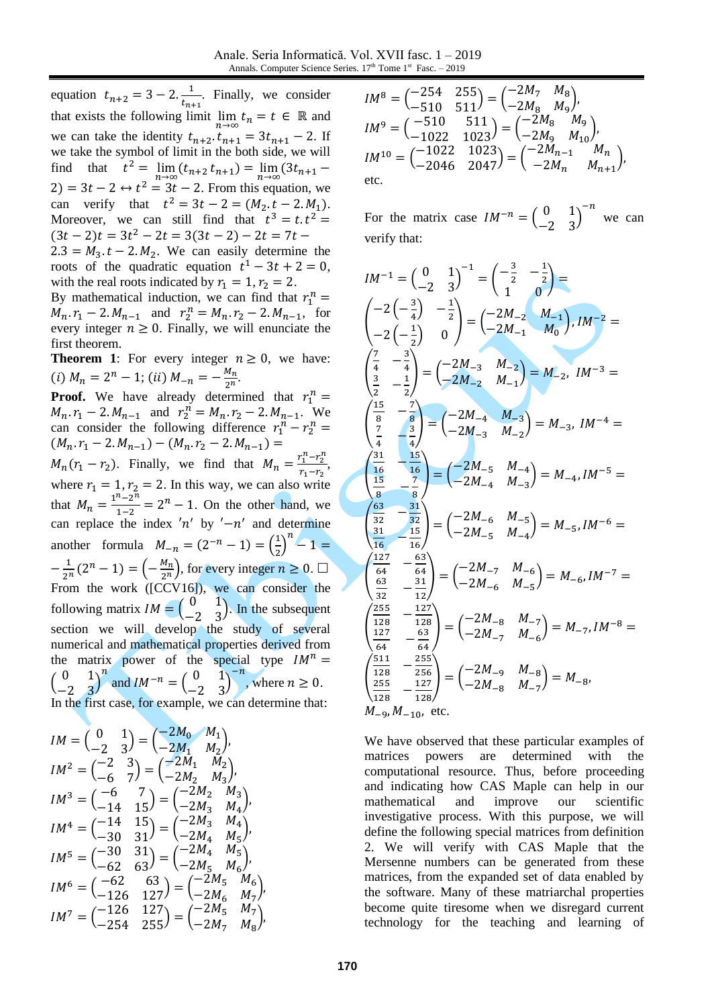equation  $t_{n+2} = 3 - 2 \cdot \frac{1}{t_n}$  $\frac{1}{t_{n+1}}$ . Finally, we consider that exists the following limit  $\lim_{n \to \infty} t_n = t \in \mathbb{R}$  and we can take the identity  $t_{n+2}.t_{n+1} = 3t_{n+1} - 2$ . If we take the symbol of limit in the both side, we will find that  $t^2 = \lim_{n \to \infty} (t_{n+2} t_{n+1}) = \lim_{n \to \infty} (3t_{n+1} 2 = 3t - 2 \leftrightarrow t^2 = 3t - 2$ . From this equation, we can verify that  $t^2 = 3t - 2 = (M_2 \cdot t - 2 \cdot M_1)$ . Moreover, we can still find that  $t^3 = t \cdot t^2 =$  $(3t-2)t = 3t^2 - 2t = 3(3t - 2) - 2t = 7t$  $2.3 = M_3 \tcdot t - 2 \tcdot M_2$ . We can easily determine the roots of the quadratic equation  $t^1 - 3t + 2 = 0$ ,

with the real roots indicated by  $r_1 = 1, r_2 = 2$ . By mathematical induction, we can find that  $r_1^n =$  $M_n r_1 - 2 M_{n-1}$  and  $r_2^n = M_n r_2 - 2 M_{n-1}$ , for every integer  $n \geq 0$ . Finally, we will enunciate the first theorem.

**Theorem 1:** For every integer  $n \geq 0$ , we have: (i)  $M_n = 2^n - 1$ ; (ii)  $M_{-n} = -\frac{M_n}{2^n}$  $\frac{n}{2^n}$ .

**Proof.** We have already determined that  $r_1^n =$  $M_n r_1 - 2.M_{n-1}$  and  $r_2^n = M_n r_2 - 2.M_{n-1}$ . We can consider the following difference  $r_1^n - r_2^n =$  $(M_n.r_1 - 2.M_{n-1}) - (M_n.r_2 - 2.M_{n-1}) =$  $M_n(r_1 - r_2)$ . Finally, we find that  $M_n = \frac{r_1^n - r_2^n}{r_1 - r_2}$  $\frac{1-t_2}{r_1-r_2}$ where  $r_1 = 1$ ,  $r_2 = 2$ . In this way, we can also write that  $M_n = \frac{1^n - 2^n}{1 - 2}$  $\frac{n-2^n}{1-2} = 2^n - 1$ . On the other hand, we can replace the index 'n' by ' $-n'$  and determine another formula  $M_{-n} = (2^{-n} - 1) = \left(\frac{1}{2}\right)$  $\left(\frac{1}{2}\right)^n - 1 =$  $-\frac{1}{2}$  $\frac{1}{2^n}(2^n-1) = \left(-\frac{M_n}{2^n}\right)$  $\frac{m_n}{2^n}$ , for every integer  $n \geq 0$ .  $\Box$ From the work ( $[CCV16]$ ), we can consider the following matrix  $IM = \begin{pmatrix} 0 & 1 \\ 2 & 2 \end{pmatrix}$  $\begin{pmatrix} 0 & 1 \\ -2 & 3 \end{pmatrix}$ . In the subsequent section we will develop the study of several numerical and mathematical properties derived from the matrix power of the special type  $IM^n =$  $\begin{pmatrix} 0 & 1 \\ 2 & 2 \end{pmatrix}$  $\begin{pmatrix} 0 & 1 \\ -2 & 3 \end{pmatrix}$ and  $IM^{-n} = \begin{pmatrix} 0 & 1 \\ 2 & 2 \end{pmatrix}$  $\begin{pmatrix} 0 & 1 \\ -2 & 3 \end{pmatrix}$  $-n$ , where  $n \geq 0$ . In the first case, for example, we can determine that:

$$
IM = \begin{pmatrix} 0 & 1 \\ -2 & 3 \end{pmatrix} = \begin{pmatrix} -2M_0 & M_1 \\ -2M_1 & M_2 \end{pmatrix},
$$
  
\n
$$
IM^2 = \begin{pmatrix} -2 & 3 \\ -6 & 7 \end{pmatrix} = \begin{pmatrix} -2M_1 & M_2 \\ -2M_2 & M_3 \end{pmatrix},
$$
  
\n
$$
IM^3 = \begin{pmatrix} -6 & 7 \\ -14 & 15 \end{pmatrix} = \begin{pmatrix} -2M_2 & M_3 \\ -2M_3 & M_4 \end{pmatrix},
$$
  
\n
$$
IM^4 = \begin{pmatrix} -14 & 15 \\ -30 & 31 \end{pmatrix} = \begin{pmatrix} -2M_3 & M_4 \\ -2M_4 & M_5 \end{pmatrix},
$$
  
\n
$$
IM^5 = \begin{pmatrix} -30 & 31 \\ -62 & 63 \end{pmatrix} = \begin{pmatrix} -2M_4 & M_5 \\ -2M_5 & M_6 \end{pmatrix},
$$
  
\n
$$
IM^6 = \begin{pmatrix} -62 & 63 \\ -126 & 127 \end{pmatrix} = \begin{pmatrix} -2M_5 & M_6 \\ -2M_6 & M_7 \end{pmatrix},
$$
  
\n
$$
IM^7 = \begin{pmatrix} -126 & 127 \\ -254 & 255 \end{pmatrix} = \begin{pmatrix} -2M_5 & M_7 \\ -2M_7 & M_8 \end{pmatrix},
$$

$$
IM^8 = \begin{pmatrix} -254 & 255 \\ -510 & 511 \end{pmatrix} = \begin{pmatrix} -2M_7 & M_8 \\ -2M_8 & M_9 \end{pmatrix},
$$
  
\n
$$
IM^9 = \begin{pmatrix} -510 & 511 \\ -1022 & 1023 \end{pmatrix} = \begin{pmatrix} -2M_8 & M_9 \\ -2M_9 & M_{10} \end{pmatrix},
$$
  
\n
$$
IM^{10} = \begin{pmatrix} -1022 & 1023 \\ -2046 & 2047 \end{pmatrix} = \begin{pmatrix} -2M_{n-1} & M_n \\ -2M_n & M_{n+1} \end{pmatrix},
$$
  
\netc.

For the matrix case  $IM^{-n} = \begin{pmatrix} 0 & 1 \\ 2 & 2 \end{pmatrix}$  $\begin{pmatrix} 0 & 1 \\ -2 & 3 \end{pmatrix}$  $-n$ we can verify that:

$$
IM^{-1} = \begin{pmatrix} 0 & 1 \\ -2 & 3 \end{pmatrix}^{-1} = \begin{pmatrix} -\frac{3}{2} & -\frac{1}{2} \\ 1 & 0 \end{pmatrix} =
$$
\n
$$
\begin{pmatrix} -2\left(-\frac{3}{4}\right) & -\frac{1}{2} \\ -2\left(-\frac{1}{2}\right) & 0 \end{pmatrix} = \begin{pmatrix} -2M_{-2} & M_{-1} \\ -2M_{-1} & M_{0} \end{pmatrix}, IM^{-2} =
$$
\n
$$
\begin{pmatrix} \frac{7}{4} & -\frac{3}{4} \\ \frac{3}{2} & -\frac{1}{2} \end{pmatrix} = \begin{pmatrix} -2M_{-3} & M_{-2} \\ -2M_{-2} & M_{-1} \end{pmatrix} = M_{-2}, IM^{-3} =
$$
\n
$$
\begin{pmatrix} \frac{15}{8} & -\frac{7}{8} \\ \frac{7}{8} & -\frac{3}{4} \end{pmatrix} = \begin{pmatrix} -2M_{-4} & M_{-3} \\ -2M_{-3} & M_{-2} \end{pmatrix} = M_{-3}, IM^{-4} =
$$
\n
$$
\begin{pmatrix} \frac{31}{16} & -\frac{15}{16} \\ \frac{15}{8} & -\frac{7}{8} \end{pmatrix} = \begin{pmatrix} -2M_{-5} & M_{-4} \\ -2M_{-4} & M_{-3} \end{pmatrix} = M_{-4}, IM^{-5} =
$$
\n
$$
\begin{pmatrix} \frac{63}{32} & -\frac{31}{32} \\ \frac{31}{16} & \frac{15}{16} \end{pmatrix} = \begin{pmatrix} -2M_{-6} & M_{-5} \\ -2M_{-5} & M_{-4} \end{pmatrix} = M_{-5}, IM^{-6} =
$$
\n
$$
\begin{pmatrix} \frac{225}{32} & -\frac{32}{32} \\ \frac{63}{32} & -\frac{31}{12} \end{pmatrix} = \begin{pmatrix} -2M_{-7} & M_{-6} \\ -2M_{-6} & M_{-5} \end{pmatrix} = M_{-6}, IM^{-7} =
$$
\n
$$
\begin{pmatrix} \frac{225}{128} & -\frac{127}{128
$$

We have observed that these particular examples of matrices powers are determined with the computational resource. Thus, before proceeding and indicating how CAS Maple can help in our mathematical and improve our scientific investigative process. With this purpose, we will define the following special matrices from definition 2. We will verify with CAS Maple that the Mersenne numbers can be generated from these matrices, from the expanded set of data enabled by the software. Many of these matriarchal properties become quite tiresome when we disregard current technology for the teaching and learning of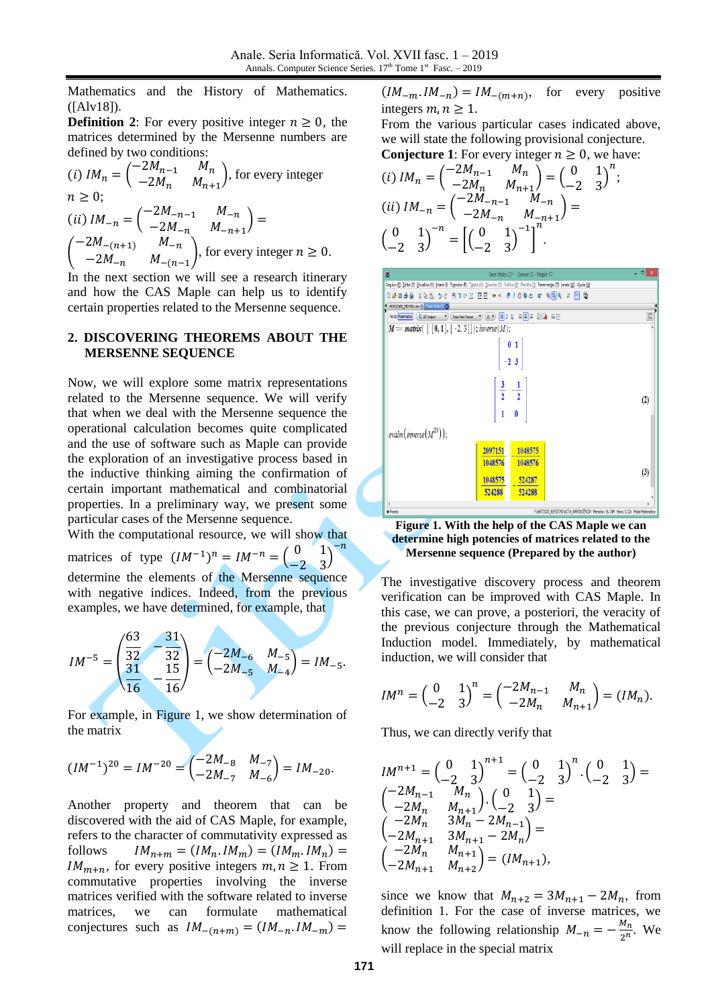Mathematics and the History of Mathematics. ([Alv18]).

**Definition 2**: For every positive integer  $n \geq 0$ , the matrices determined by the Mersenne numbers are defined by two conditions:

(i) 
$$
IM_n = \begin{pmatrix} -2M_{n-1} & M_n \\ -2M_n & M_{n+1} \end{pmatrix}
$$
, for every integer  
\n $n \ge 0$ ;  
\n(ii)  $IM_{-n} = \begin{pmatrix} -2M_{-n-1} & M_{-n} \\ -2M_{-n} & M_{-n+1} \end{pmatrix} =$   
\n $\begin{pmatrix} -2M_{-(n+1)} & M_{-n} \\ -2M_{-n} & M_{-(n-1)} \end{pmatrix}$ , for every integer  $n \ge 0$ .

In the next section we will see a research itinerary and how the CAS Maple can help us to identify certain properties related to the Mersenne sequence.

#### **2. DISCOVERING THEOREMS ABOUT THE MERSENNE SEQUENCE**

Now, we will explore some matrix representations related to the Mersenne sequence. We will verify that when we deal with the Mersenne sequence the operational calculation becomes quite complicated and the use of software such as Maple can provide the exploration of an investigative process based in the inductive thinking aiming the confirmation of certain important mathematical and combinatorial properties. In a preliminary way, we present some particular cases of the Mersenne sequence.

With the computational resource, we will show that matrices of type  $(IM^{-1})^n = IM^{-n} = \begin{pmatrix} 0 & 1 \\ 0 & 2 \end{pmatrix}$ −2 3 )  $-n$ determine the elements of the Mersenne sequence with negative indices. Indeed, from the previous examples, we have determined, for example, that

$$
IM^{-5} = \begin{pmatrix} \frac{63}{32} & -\frac{31}{32} \\ \frac{31}{16} & \frac{15}{16} \end{pmatrix} = \begin{pmatrix} -2M_{-6} & M_{-5} \\ -2M_{-5} & M_{-4} \end{pmatrix} = IM_{-5}.
$$

For example, in Figure 1, we show determination of the matrix

$$
(IM^{-1})^{20} = IM^{-20} = \begin{pmatrix} -2M_{-8} & M_{-7} \\ -2M_{-7} & M_{-6} \end{pmatrix} = IM_{-20}.
$$

Another property and theorem that can be discovered with the aid of CAS Maple, for example, refers to the character of commutativity expressed as follows  $IM_{n+m} = (IM_n, IM_m) = (IM_m, IM_n) =$  $IM_{m+n}$ , for every positive integers  $m, n \geq 1$ . From commutative properties involving the inverse matrices verified with the software related to inverse matrices, we can formulate mathematical conjectures such as  $IM_{-(n+m)} = (IM_{-n}.IM_{-m}) =$ 

 $(IM_{-m}.IM_{-n}) = IM_{-(m+n)}$ for every positive integers  $m, n \geq 1$ .

From the various particular cases indicated above, we will state the following provisional conjecture. **Conjecture 1:** For every integer  $n \geq 0$ , we have:

(i) 
$$
IM_n = \begin{pmatrix} -2M_{n-1} & M_n \\ -2M_n & M_{n+1} \end{pmatrix} = \begin{pmatrix} 0 & 1 \\ -2 & 3 \end{pmatrix}^n;
$$
  
\n(ii)  $IM_{-n} = \begin{pmatrix} -2M_{-n-1} & M_{-n} \\ -2M_{-n} & M_{-n+1} \end{pmatrix} =$   
\n $\begin{pmatrix} 0 & 1 \\ -2 & 3 \end{pmatrix}^{-n} = \begin{pmatrix} 0 & 1 \\ -2 & 3 \end{pmatrix}^{-1} \begin{pmatrix} 1 \\ 0 \end{pmatrix}^{-1}.$ 



**Figure 1. With the help of the CAS Maple we can determine high potencies of matrices related to the Mersenne sequence (Prepared by the author)**

The investigative discovery process and theorem verification can be improved with CAS Maple. In this case, we can prove, a posteriori, the veracity of the previous conjecture through the Mathematical Induction model. Immediately, by mathematical induction, we will consider that

$$
IM^{n} = \begin{pmatrix} 0 & 1 \\ -2 & 3 \end{pmatrix}^{n} = \begin{pmatrix} -2M_{n-1} & M_{n} \\ -2M_{n} & M_{n+1} \end{pmatrix} = (IM_{n}).
$$

Thus, we can directly verify that

$$
IM^{n+1} = \begin{pmatrix} 0 & 1 \\ -2 & 3 \end{pmatrix}^{n+1} = \begin{pmatrix} 0 & 1 \\ -2 & 3 \end{pmatrix}^n \cdot \begin{pmatrix} 0 & 1 \\ -2 & 3 \end{pmatrix} =
$$
  
\n
$$
\begin{pmatrix} -2M_{n-1} & M_n \\ -2M_n & M_{n+1} \end{pmatrix} \cdot \begin{pmatrix} 0 & 1 \\ -2 & 3 \end{pmatrix} =
$$
  
\n
$$
\begin{pmatrix} -2M_n & 3M_n - 2M_{n-1} \\ -2M_{n+1} & 3M_{n+1} - 2M_n \end{pmatrix} =
$$
  
\n
$$
\begin{pmatrix} -2M_n & M_{n+1} \\ -2M_{n+1} & M_{n+2} \end{pmatrix} = (IM_{n+1}),
$$

since we know that  $M_{n+2} = 3M_{n+1} - 2M_n$ , from definition 1. For the case of inverse matrices, we know the following relationship  $M_{-n} = -\frac{M_n}{2^n}$  $\frac{m_n}{2^n}$ . We will replace in the special matrix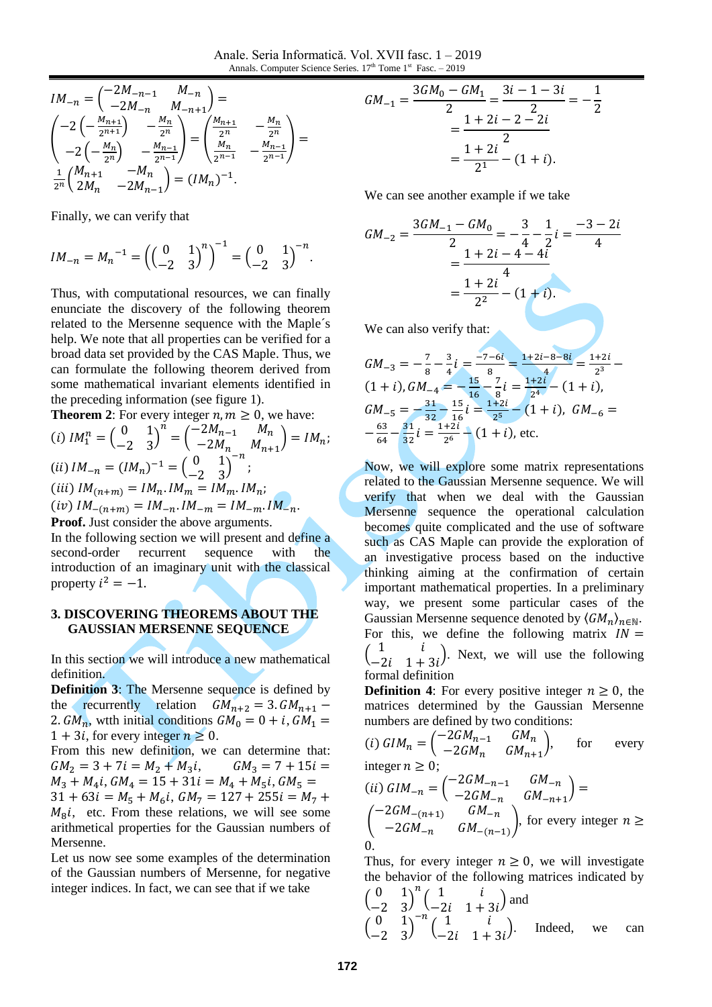Anale. Seria Informatică. Vol. XVII fasc. 1 – 2019 Annals. Computer Science Series. 17<sup>th</sup> Tome 1<sup>st</sup> Fasc. - 2019

$$
IM_{-n} = \begin{pmatrix} -2M_{-n-1} & M_{-n} \\ -2M_{-n} & M_{-n+1} \end{pmatrix} =
$$
  
\n
$$
\begin{pmatrix} -2\left(-\frac{M_{n+1}}{2^{n+1}}\right) & -\frac{M_n}{2^n} \\ -2\left(-\frac{M_n}{2^n}\right) & -\frac{M_{n-1}}{2^{n-1}} \end{pmatrix} = \begin{pmatrix} \frac{M_{n+1}}{2^n} & -\frac{M_n}{2^n} \\ \frac{M_n}{2^{n-1}} & -\frac{M_{n-1}}{2^{n-1}} \end{pmatrix} =
$$
  
\n
$$
\frac{1}{2^n} \begin{pmatrix} M_{n+1} & -M_n \\ 2M_n & -2M_{n-1} \end{pmatrix} = (IM_n)^{-1}.
$$

Finally, we can verify that

$$
IM_{-n} = M_n^{-1} = \left( \begin{pmatrix} 0 & 1 \\ -2 & 3 \end{pmatrix}^n \right)^{-1} = \begin{pmatrix} 0 & 1 \\ -2 & 3 \end{pmatrix}^{-n}.
$$

Thus, with computational resources, we can finally enunciate the discovery of the following theorem related to the Mersenne sequence with the Maple´s help. We note that all properties can be verified for a broad data set provided by the CAS Maple. Thus, we can formulate the following theorem derived from some mathematical invariant elements identified in the preceding information (see figure 1).

**Theorem 2**: For every integer  $n, m \geq 0$ , we have:

(i) 
$$
IM_1^n = \begin{pmatrix} 0 & 1 \\ -2 & 3 \end{pmatrix}^n = \begin{pmatrix} -2M_{n-1} & M_n \\ -2M_n & M_{n+1} \end{pmatrix} = IM_n;
$$
  
\n(ii)  $IM_{-n} = (IM_n)^{-1} = \begin{pmatrix} 0 & 1 \\ -2 & 3 \end{pmatrix}^{-n};$   
\n(iii)  $IM_{(n+m)} = IM_n, IM_m = IM_m, IM_n;$   
\n(iv)  $IM_{-(n+m)} = IM_{-n}.IM_{-m} = IM_{-m}.IM_{-n}.$   
\n**Proof.** Just consider the above arguments.

In the following section we will present and define a second-order recurrent sequence with the introduction of an imaginary unit with the classical property  $i^2 = -1$ .

#### **3. DISCOVERING THEOREMS ABOUT THE GAUSSIAN MERSENNE SEQUENCE**

In this section we will introduce a new mathematical definition.

**Definition 3**: The Mersenne sequence is defined by the recurrently relation  $GM_{n+2} = 3. GM_{n+1} -$ 2.  $GM_n$ , wtth initial conditions  $GM_0 = 0 + i$ ,  $GM_1 =$  $1 + 3i$ , for every integer  $n \geq 0$ .

From this new definition, we can determine that:  $GM_2 = 3 + 7i = M_2 + M_3i$ ,  $GM_3 = 7 + 15i =$  $M_3 + M_4i$ ,  $GM_4 = 15 + 31i = M_4 + M_5i$ ,  $GM_5 =$  $31 + 63i = M_5 + M_6i$ ,  $GM_7 = 127 + 255i = M_7 +$  $M<sub>8</sub>$ *i*, etc. From these relations, we will see some arithmetical properties for the Gaussian numbers of Mersenne.

Let us now see some examples of the determination of the Gaussian numbers of Mersenne, for negative integer indices. In fact, we can see that if we take

$$
GM_{-1} = \frac{3GM_0 - GM_1}{2} = \frac{3i - 1 - 3i}{2} = -\frac{1}{2}
$$

$$
= \frac{1 + 2i - 2 - 2i}{2}
$$

$$
= \frac{1 + 2i}{2^1} - (1 + i).
$$

We can see another example if we take

$$
GM_{-2} = \frac{3GM_{-1} - GM_0}{2} = -\frac{3}{4} - \frac{1}{2}i = \frac{-3 - 2i}{4}
$$

$$
= \frac{1 + 2i - 4 - 4i}{2^2} - (1 + i).
$$

We can also verify that:

$$
GM_{-3} = -\frac{7}{8} - \frac{3}{4}i = \frac{-7 - 6i}{8} = \frac{1 + 2i - 8 - 8i}{4} = \frac{1 + 2i}{2^3} - (1 + i), GM_{-4} = -\frac{15}{16} - \frac{7}{8}i = \frac{1 + 2i}{2^4} - (1 + i),
$$
  
\n
$$
GM_{-5} = -\frac{31}{32} - \frac{15}{16}i = \frac{1 + 2i}{2^5} - (1 + i), GM_{-6} = -\frac{63}{64} - \frac{31}{32}i = \frac{1 + 2i}{2^6} - (1 + i), \text{ etc.}
$$

Now, we will explore some matrix representations related to the Gaussian Mersenne sequence. We will verify that when we deal with the Gaussian Mersenne sequence the operational calculation becomes quite complicated and the use of software such as CAS Maple can provide the exploration of an investigative process based on the inductive thinking aiming at the confirmation of certain important mathematical properties. In a preliminary way, we present some particular cases of the Gaussian Mersenne sequence denoted by  $\langle GM_n \rangle_{n \in \mathbb{N}}$ . For this, we define the following matrix  $IN =$  $\begin{pmatrix} 1 & i \\ 2i & 1 \end{pmatrix}$  $\begin{pmatrix} 1 & i \\ -2i & 1+3i \end{pmatrix}$ . Next, we will use the following formal definition

**Definition 4**: For every positive integer  $n \geq 0$ , the matrices determined by the Gaussian Mersenne numbers are defined by two conditions:

(i) 
$$
GIM_n = \begin{pmatrix} -2GM_{n-1} & GM_n \ -2GM_n & GM_{n+1} \end{pmatrix}
$$
, for every  
integer  $n \ge 0$ ;  
(ii)  $GIM_{-n} = \begin{pmatrix} -2GM_{-n-1} & GM_{-n} \ -2GM_{-n} & GM_{-n+1} \end{pmatrix} =$   
 $\begin{pmatrix} -2GM_{-(n+1)} & GM_{-n} \ -2GM_{-n} & GM_{-(n-1)} \end{pmatrix}$ , for every integer  $n \ge 0$ .

Thus, for every integer  $n \geq 0$ , we will investigate the behavior of the following matrices indicated by

$$
\begin{pmatrix} 0 & 1 \ -2 & 3 \end{pmatrix}^{n} \begin{pmatrix} 1 & i \ -2i & 1+3i \end{pmatrix}
$$
 and  
\n
$$
\begin{pmatrix} 0 & 1 \ -2 & 3 \end{pmatrix}^{-n} \begin{pmatrix} 1 & i \ -2i & 1+3i \end{pmatrix}
$$
. Indeed, we can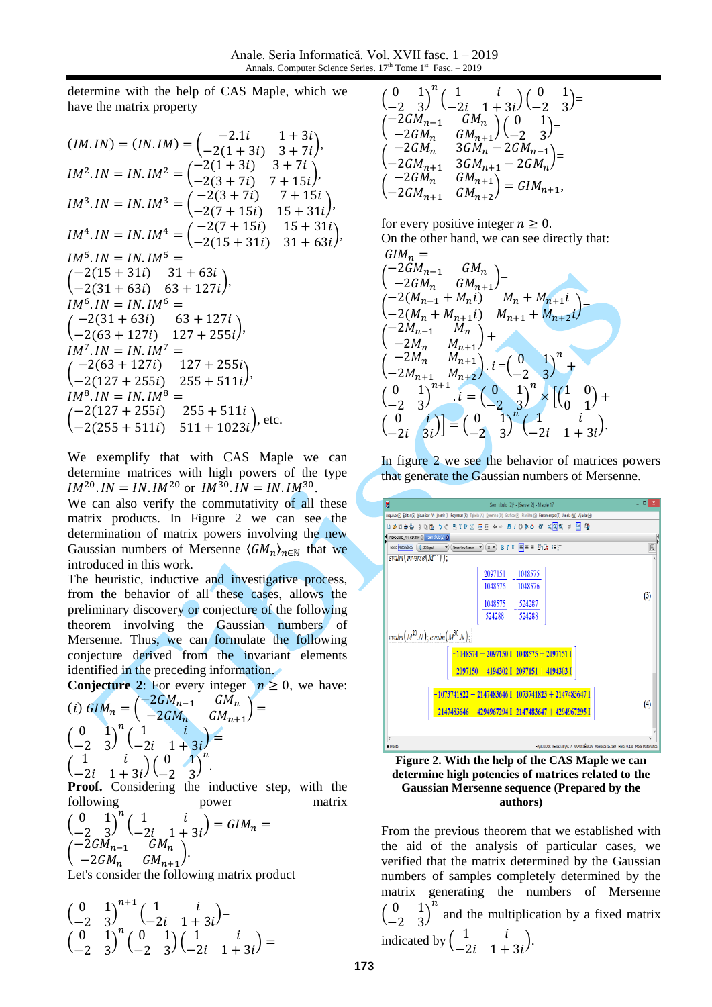determine with the help of CAS Maple, which we have the matrix property

$$
(IM. IN) = (IN. IM) = \begin{pmatrix} -2.1i & 1+3i \\ -2(1+3i) & 3+7i \end{pmatrix},
$$
  
\n
$$
IM^{2}.IN = IN. IM^{2} = \begin{pmatrix} -2(1+3i) & 3+7i \\ -2(3+7i) & 7+15i \end{pmatrix},
$$
  
\n
$$
IM^{3}.IN = IN. IM^{3} = \begin{pmatrix} -2(3+7i) & 7+15i \\ -2(7+15i) & 15+31i \end{pmatrix},
$$
  
\n
$$
IM^{4}.IN = IN. IM^{4} = \begin{pmatrix} -2(7+15i) & 15+31i \\ -2(15+31i) & 31+63i \end{pmatrix},
$$
  
\n
$$
IM^{5}.IN = IN. IM^{5} =
$$
  
\n
$$
\begin{pmatrix} -2(15+31i) & 31+63i \\ -2(31+63i) & 63+127i \end{pmatrix},
$$
  
\n
$$
IM^{6}.IN = IN. IM^{6} =
$$
  
\n
$$
\begin{pmatrix} -2(31+63i) & 63+127i \\ -2(63+127i) & 127+255i \\ -2(127+255i) & 255+511i \end{pmatrix},
$$
  
\n
$$
IM^{8}.IN = IN. IM^{8} =
$$
  
\n
$$
\begin{pmatrix} -2(127+255i) & 255+511i \\ -2(255+511i) & 511+1023i \end{pmatrix}
$$
, etc.

We exemplify that with CAS Maple we can determine matrices with high powers of the type  $IM^{20}.IN = IN. IM^{20}$  or  $IM^{30}.IN = IN. IM^{30}.$ 

We can also verify the commutativity of all these matrix products. In Figure 2 we can see the determination of matrix powers involving the new Gaussian numbers of Mersenne  $\langle GM_n \rangle_{n \in \mathbb{N}}$  that we introduced in this work.

The heuristic, inductive and investigative process, from the behavior of all these cases, allows the preliminary discovery or conjecture of the following theorem involving the Gaussian numbers of Mersenne. Thus, we can formulate the following conjecture derived from the invariant elements identified in the preceding information.

**Conjecture 2:** For every integer  $n \geq 0$ , we have:

(i) 
$$
GIM_n = \begin{pmatrix} -2GM_{n-1} & GM_n \\ -2GM_n & GM_{n+1} \end{pmatrix} =
$$
  
\n $\begin{pmatrix} 0 & 1 \\ -2 & 3 \end{pmatrix}^n \begin{pmatrix} 1 & i \\ -2i & 1+3i \end{pmatrix} =$   
\n $\begin{pmatrix} 1 & i \\ -2i & 1+3i \end{pmatrix} \begin{pmatrix} 0 & 1 \\ -2 & 3 \end{pmatrix}^n$ 

**Proof.** Considering the inductive step, with the following power matrix

$$
\begin{pmatrix} 0 & 1 \ -2 & 3 \end{pmatrix}^n \begin{pmatrix} 1 & i \ -2i & 1+3i \end{pmatrix} = GIM_n =
$$
  

$$
\begin{pmatrix} -2GM_{n-1} & GM_n \ -2GM_n & GM_{n+1} \end{pmatrix}.
$$

Let's consider the following matrix product

$$
\begin{pmatrix} 0 & 1 \ -2 & 3 \end{pmatrix}^{n+1} \begin{pmatrix} 1 & i \ -2i & 1+3i \end{pmatrix} =
$$
  
\n
$$
\begin{pmatrix} 0 & 1 \ -2 & 3 \end{pmatrix}^{n} \begin{pmatrix} 0 & 1 \ -2 & 3 \end{pmatrix} \begin{pmatrix} 1 & i \ -2i & 1+3i \end{pmatrix} =
$$

$$
\begin{array}{ll}\n\left(\begin{matrix} 0&1\\-2&3\end{matrix}\right)^n\left(\begin{matrix} 1&i\\-2i&1+3i\end{matrix}\right)\left(\begin{matrix} 0&1\\-2&3\end{matrix}\right)=\\ \n\left(\begin{matrix}-2GM_{n-1}&GM_n\\-2GM_n&GM_{n+1}\end{matrix}\right)\left(\begin{matrix} 0&1\\-2&3\end{matrix}\right)=\\ \n\left(\begin{matrix}-2GM_n&3GM_n-2GM_{n-1}\\-2GM_{n+1}&3GM_{n+1}-2GM_n\end{matrix}\right)=\\ \n\left(\begin{matrix}-2GM_n&GM_{n+1}\\-2GM_{n+1}&GM_{n+2}\end{matrix}\right)=GIM_{n+1},\n\end{array}
$$

for every positive integer  $n \geq 0$ . On the other hand, we can see directly that:

$$
GIM_n =
$$
\n
$$
\begin{pmatrix}\n-2GM_{n-1} & GM_n \\
-2GM_n & GM_{n+1}\n\end{pmatrix} =
$$
\n
$$
\begin{pmatrix}\n-2(M_{n-1} + M_n i) & M_n + M_{n+1} i \\
-2(M_n + M_{n+1} i) & M_{n+1} + M_{n+2} i\n\end{pmatrix} =
$$
\n
$$
\begin{pmatrix}\n-2M_n & M_{n+1} \\
-2M_n & M_{n+1}\n\end{pmatrix} +
$$
\n
$$
\begin{pmatrix}\n-2M_n & M_{n+1} \\
-2M_{n+1} & M_{n+2}\n\end{pmatrix} \cdot i = \begin{pmatrix}\n0 & 1 \\
-2 & 3\n\end{pmatrix}^n +
$$
\n
$$
\begin{pmatrix}\n0 & 1 \\
-2 & 3\n\end{pmatrix}^{n+1} \cdot i = \begin{pmatrix}\n0 & 1 \\
-2 & 3\n\end{pmatrix}^n \times \begin{bmatrix}\n1 & 0 \\
0 & 1\n\end{bmatrix} +
$$
\n
$$
\begin{pmatrix}\n0 & i \\
-2i & 3i\n\end{pmatrix} = \begin{pmatrix}\n0 & 1 \\
-2 & 3\n\end{pmatrix}^n \begin{pmatrix}\n1 & i \\
-2i & 1 + 3i\n\end{pmatrix}.
$$







From the previous theorem that we established with the aid of the analysis of particular cases, we verified that the matrix determined by the Gaussian numbers of samples completely determined by the matrix generating the numbers of Mersenne  $\begin{pmatrix} 0 & 1 \\ 2 & 2 \end{pmatrix}$  $\begin{pmatrix} 0 & 1 \\ -2 & 3 \end{pmatrix}$  $\overline{n}$ and the multiplication by a fixed matrix indicated by  $\begin{pmatrix} 1 & i \\ 2i & 1 \end{pmatrix}$  $\frac{1}{-2i}$  1 + 3*i*<sup>)</sup>.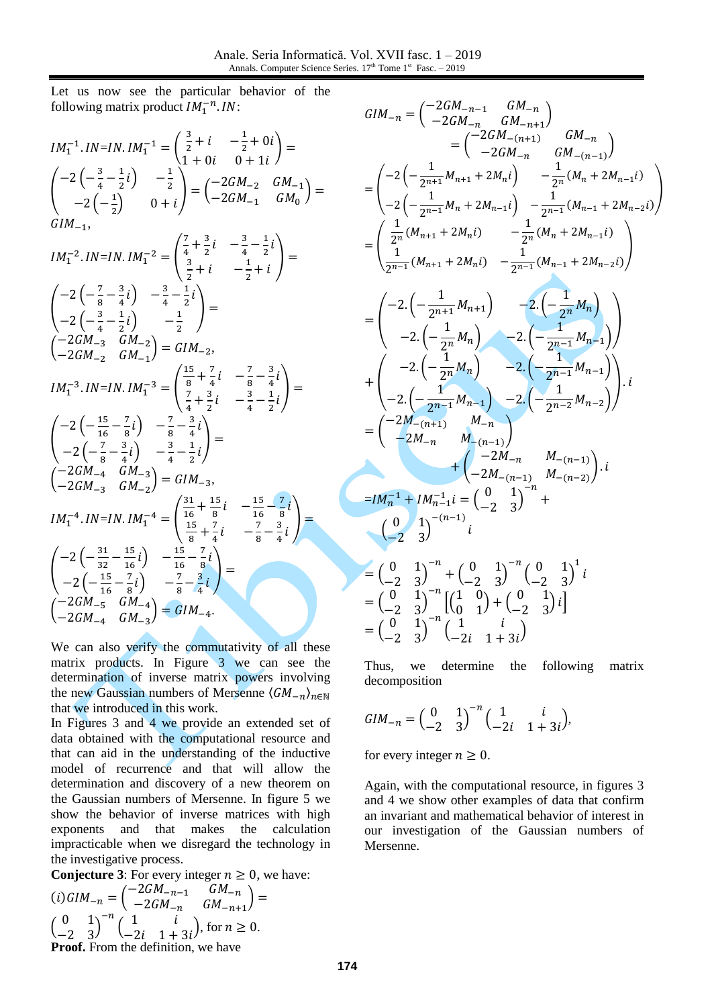Let us now see the particular behavior of the following matrix product  $IM_1^{-n}$ . IN:

$$
IM_1^{-1}.IN=IN.IM_1^{-1} = \begin{pmatrix} \frac{3}{2} + i & -\frac{1}{2} + 0i \\ 1 + 0i & 0 + 1i \end{pmatrix} =
$$
\n
$$
\begin{pmatrix} -2\left(-\frac{3}{4} - \frac{1}{2}i\right) & -\frac{1}{2} \\ -2\left(-\frac{1}{2}\right) & 0 + i \end{pmatrix} = \begin{pmatrix} -2GM_{-2} & GM_{-1} \\ -2GM_{-1} & GM_0 \end{pmatrix} =
$$
\n
$$
GM_{-1},
$$
\n
$$
IM_1^{-2}.IN=IN.IM_1^{-2} = \begin{pmatrix} \frac{7}{4} + \frac{3}{2}i & -\frac{3}{4} - \frac{1}{2}i \\ \frac{3}{2} + i & -\frac{1}{2} + i \end{pmatrix} =
$$
\n
$$
\begin{pmatrix} -2\left(-\frac{7}{8} - \frac{3}{4}i\right) & -\frac{3}{4} - \frac{1}{2}i \\ -2\left(-\frac{3}{4} - \frac{1}{2}i\right) & -\frac{1}{2} \end{pmatrix} =
$$
\n
$$
\begin{pmatrix} -2GM_{-3} & GM_{-2} \\ -2GM_{-2} & GM_{-1} \end{pmatrix} = GIM_{-2},
$$
\n
$$
IM_1^{-3}.IN=IN.IM_1^{-3} = \begin{pmatrix} \frac{15}{8} + \frac{7}{4}i & -\frac{7}{8} - \frac{3}{4}i \\ \frac{7}{4} + \frac{3}{2}i & -\frac{3}{4} - \frac{1}{2}i \end{pmatrix} =
$$
\n
$$
\begin{pmatrix} -2\left(-\frac{15}{16} - \frac{7}{8}i\right) & -\frac{7}{8} - \frac{3}{4}i \\ -2\left(-\frac{7}{8} - \frac{3}{4}i\right) & -\frac{3}{4} - \frac{1}{2}i \end{pmatrix} =
$$
\n
$$
\begin{pmatrix} -2GM_{-4} & GM_{-3} \\ -2GM_{-3} & GM_{-2} \end{pmatrix} = GIM_{-3},
$$
\n
$$
IM_1^{-4}.IN=IN.IM_1^{-4} = \begin{pmatrix} \frac{31}{16} +
$$

We can also verify the commutativity of all these matrix products. In Figure 3 we can see the determination of inverse matrix powers involving the new Gaussian numbers of Mersenne  $\langle GM_{-n} \rangle_{n \in \mathbb{N}}$ that we introduced in this work.

In Figures 3 and 4 we provide an extended set of data obtained with the computational resource and that can aid in the understanding of the inductive model of recurrence and that will allow the determination and discovery of a new theorem on the Gaussian numbers of Mersenne. In figure 5 we show the behavior of inverse matrices with high exponents and that makes the calculation impracticable when we disregard the technology in the investigative process.

**Conjecture 3:** For every integer  $n \geq 0$ , we have:

$$
(i) GIM_{-n} = \begin{pmatrix} -2GM_{-n-1} & GM_{-n} \\ -2GM_{-n} & GM_{-n+1} \end{pmatrix} =
$$
  
\n
$$
\begin{pmatrix} 0 & 1 \\ -2 & 3 \end{pmatrix}^{-n} \begin{pmatrix} 1 & i \\ -2i & 1+3i \end{pmatrix}
$$
, for  $n \ge 0$ .  
\n**Proof.** From the definition, we have

$$
GIM_{-n} = \begin{pmatrix} -2GM_{-n} & GM_{-n} \\ -2GM_{-n} & GM_{-n+1} \end{pmatrix}
$$
  
\n
$$
= \begin{pmatrix} -2\left(-\frac{1}{2m+1}M_{n+1} + 2M_{n}i\right) & -\frac{1}{2n}(M_{n} + 2M_{n-1}i) \\ -2\left(-\frac{1}{2n-1}M_{n} + 2M_{n-1}i\right) & -\frac{1}{2n-1}(M_{n} + 2M_{n-1}i) \\ -2\left(-\frac{1}{2n-1}M_{n} + 2M_{n-1}i\right) & -\frac{1}{2n-1}(M_{n-1} + 2M_{n-2}i)\right)
$$
  
\n
$$
= \begin{pmatrix} \frac{1}{2n}(M_{n+1} + 2M_{n}i) & -\frac{1}{2n-1}(M_{n-1} + 2M_{n-2}i) \\ \frac{1}{2n-1}(M_{n+1} + 2M_{n}i) & -\frac{1}{2n-1}(M_{n-1} + 2M_{n-2}i) \end{pmatrix}
$$
  
\n
$$
= \begin{pmatrix} -2\left(-\frac{1}{2n+1}M_{n+1}\right) & -2\left(-\frac{1}{2n}M_{n}\right) \\ -2\left(-\frac{1}{2n-1}M_{n}\right) & -2\left(-\frac{1}{2n-1}M_{n-1}\right) \end{pmatrix}
$$
  
\n
$$
+ \begin{pmatrix} -2\left(-\frac{1}{2n}M_{n}\right) & -2\left(-\frac{1}{2n-1}M_{n-1}\right) \\ -2\left(-\frac{1}{2n-1}M_{n-1}\right) & -2\left(-\frac{1}{2n-2}M_{n-2}\right) \end{pmatrix}.
$$
  
\n
$$
= \begin{pmatrix} -2M_{-(n+1)} & M_{-(n-1)} \\ -2M_{-n} & M_{-(n-1)} \end{pmatrix}
$$
  
\n
$$
+ \begin{pmatrix} -2M_{-n} & M_{-(n-1)} \\ -2M_{-n} & M_{-(n-1)} \end{pmatrix}.
$$
  
\n
$$
= \begin{pmatrix} 0 & 1 \\ -2 & 3 \end{pmatrix}^{-n} +
$$

Thus, we determine the following matrix decomposition

$$
GIM_{-n} = \begin{pmatrix} 0 & 1 \\ -2 & 3 \end{pmatrix}^{-n} \begin{pmatrix} 1 & i \\ -2i & 1+3i \end{pmatrix},
$$

for every integer  $n \geq 0$ .

Again, with the computational resource, in figures 3 and 4 we show other examples of data that confirm an invariant and mathematical behavior of interest in our investigation of the Gaussian numbers of Mersenne.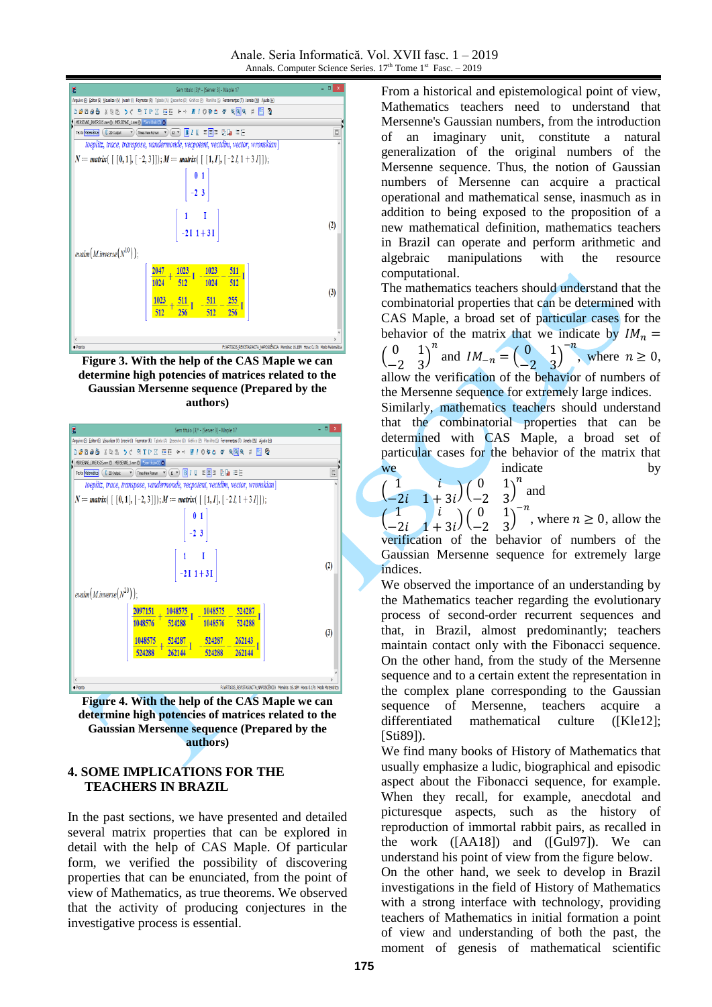

**Figure 3. With the help of the CAS Maple we can determine high potencies of matrices related to the Gaussian Mersenne sequence (Prepared by the authors)**



**Figure 4. With the help of the CAS Maple we can determine high potencies of matrices related to the Gaussian Mersenne sequence (Prepared by the authors)**

# **4. SOME IMPLICATIONS FOR THE TEACHERS IN BRAZIL**

In the past sections, we have presented and detailed several matrix properties that can be explored in detail with the help of CAS Maple. Of particular form, we verified the possibility of discovering properties that can be enunciated, from the point of view of Mathematics, as true theorems. We observed that the activity of producing conjectures in the investigative process is essential.

From a historical and epistemological point of view, Mathematics teachers need to understand that Mersenne's Gaussian numbers, from the introduction of an imaginary unit, constitute a natural generalization of the original numbers of the Mersenne sequence. Thus, the notion of Gaussian numbers of Mersenne can acquire a practical operational and mathematical sense, inasmuch as in addition to being exposed to the proposition of a new mathematical definition, mathematics teachers in Brazil can operate and perform arithmetic and algebraic manipulations with the resource computational.

The mathematics teachers should understand that the combinatorial properties that can be determined with CAS Maple, a broad set of particular cases for the behavior of the matrix that we indicate by  $IM_n =$  $\begin{pmatrix} 0 & 1 \\ 2 & 2 \end{pmatrix}$  $\begin{pmatrix} 0 & 1 \\ -2 & 3 \end{pmatrix}$  $\boldsymbol{n}$ and  $IM_{-n} = \begin{pmatrix} 0 & 1 \\ -2 & 3 \end{pmatrix}$  $\begin{pmatrix} 0 & 1 \\ -2 & 3 \end{pmatrix}$  $-n$ , where  $n \geq 0$ , allow the verification of the behavior of numbers of the Mersenne sequence for extremely large indices. Similarly, mathematics teachers should understand that the combinatorial properties that can be determined with CAS Maple, a broad set of particular cases for the behavior of the matrix that we indicate by  $\boldsymbol{n}$ 

$$
\begin{pmatrix} 1 & i \\ -2i & 1+3i \end{pmatrix} \begin{pmatrix} 0 & 1 \\ -2 & 3 \end{pmatrix}^n
$$
 and  
\n $\begin{pmatrix} 1 & i \\ 1 & 0 \end{pmatrix} \begin{pmatrix} 0 & 1 \end{pmatrix}^{-n}$ 

(  $\begin{pmatrix} 1 & i \\ -2i & 1+3i \end{pmatrix} \begin{pmatrix} 0 & 1 \\ -2 & 3 \end{pmatrix}$  $\begin{pmatrix} 0 & 1 \\ -2 & 3 \end{pmatrix}$ , where  $n \geq 0$ , allow the verification of the behavior of numbers of the Gaussian Mersenne sequence for extremely large indices.

We observed the importance of an understanding by the Mathematics teacher regarding the evolutionary process of second-order recurrent sequences and that, in Brazil, almost predominantly; teachers maintain contact only with the Fibonacci sequence. On the other hand, from the study of the Mersenne sequence and to a certain extent the representation in the complex plane corresponding to the Gaussian sequence of Mersenne, teachers acquire a differentiated mathematical culture ([Kle12]; [Sti89]).

We find many books of History of Mathematics that usually emphasize a ludic, biographical and episodic aspect about the Fibonacci sequence, for example. When they recall, for example, anecdotal and picturesque aspects, such as the history of reproduction of immortal rabbit pairs, as recalled in the work ([AA18]) and ([Gul97]). We can understand his point of view from the figure below. On the other hand, we seek to develop in Brazil investigations in the field of History of Mathematics with a strong interface with technology, providing teachers of Mathematics in initial formation a point of view and understanding of both the past, the moment of genesis of mathematical scientific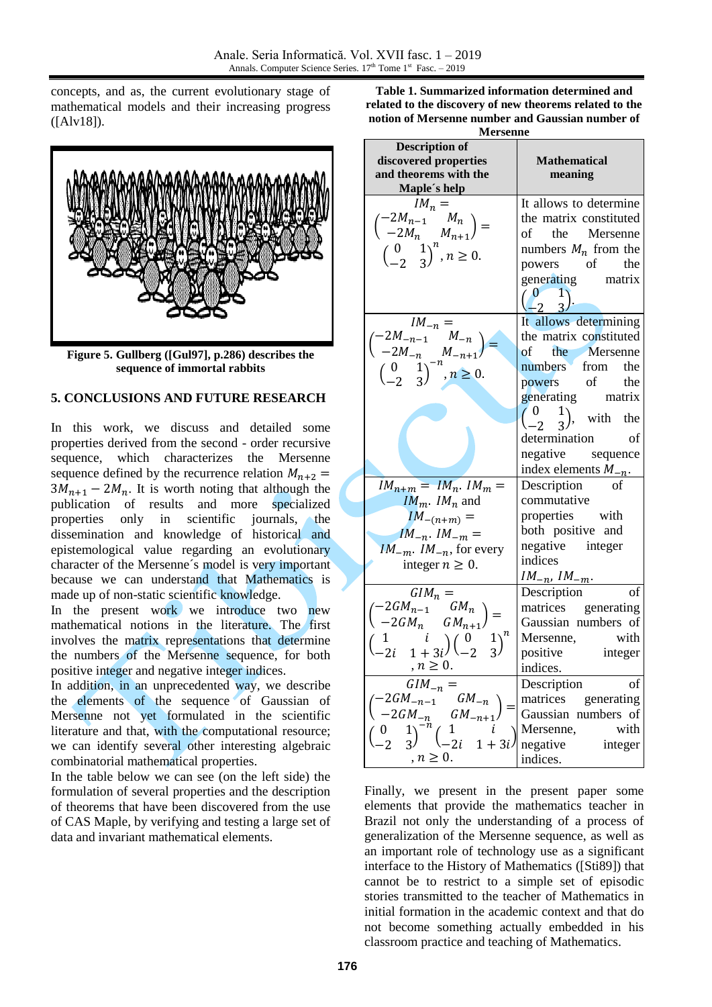concepts, and as, the current evolutionary stage of mathematical models and their increasing progress ([Alv18]).



**Figure 5. Gullberg ([Gul97], p.286) describes the sequence of immortal rabbits**

### **5. CONCLUSIONS AND FUTURE RESEARCH**

In this work, we discuss and detailed some properties derived from the second - order recursive sequence, which characterizes the Mersenne sequence defined by the recurrence relation  $M_{n+2}$  =  $3M_{n+1} - 2M_n$ . It is worth noting that although the publication of results and more specialized properties only in scientific journals, the dissemination and knowledge of historical and epistemological value regarding an evolutionary character of the Mersenne´s model is very important because we can understand that Mathematics is made up of non-static scientific knowledge.

In the present work we introduce two new mathematical notions in the literature. The first involves the matrix representations that determine the numbers of the Mersenne sequence, for both positive integer and negative integer indices.

In addition, in an unprecedented way, we describe the elements of the sequence of Gaussian of Mersenne not yet formulated in the scientific literature and that, with the computational resource; we can identify several other interesting algebraic combinatorial mathematical properties.

In the table below we can see (on the left side) the formulation of several properties and the description of theorems that have been discovered from the use of CAS Maple, by verifying and testing a large set of data and invariant mathematical elements.

**Table 1. Summarized information determined and related to the discovery of new theorems related to the notion of Mersenne number and Gaussian number of** 

| <b>Mersenne</b>                                                                                                                                                                                                |                                                                                                                                                                                        |
|----------------------------------------------------------------------------------------------------------------------------------------------------------------------------------------------------------------|----------------------------------------------------------------------------------------------------------------------------------------------------------------------------------------|
| <b>Description of</b><br>discovered properties<br>and theorems with the<br>Maple's help                                                                                                                        | <b>Mathematical</b><br>meaning                                                                                                                                                         |
| $IM_n =$<br>$\begin{pmatrix} -2M_{n-1} & M_n \\ -2M_n & M_{n+1} \end{pmatrix} =$<br>$\begin{pmatrix} 0 & 1 \\ -2 & 3 \end{pmatrix}^n, n \ge 0.$                                                                | It allows to determine<br>the matrix constituted<br>of the Mersenne<br>numbers $M_n$ from the<br>powers of the<br>generating matrix<br>$\begin{pmatrix} 0 & 1 \\ -2 & 3 \end{pmatrix}$ |
| $\begin{array}{c} IM_{-n} = \\ \begin{pmatrix} -2M_{-n-1} & M_{-n} \\ -2M_{-n} & M_{-n+1} \end{pmatrix} \\ \begin{pmatrix} 0 & 1 \\ -2 & 3 \end{pmatrix}^{-n}, n \ge 0. \end{array}$                           | It allows determining<br>the matrix constituted<br>of the Mersenne<br>numbers from the<br>powers of the<br>generating matrix                                                           |
|                                                                                                                                                                                                                | $\begin{pmatrix} 0 & 1 \\ -2 & 3 \end{pmatrix}$ , with the<br>determination of<br>negative sequence<br>index elements $M_{-n}$ .                                                       |
| $IM_{n+m} = IM_n$ . $IM_m =$<br>$IM_m$ . $IM_n$ and<br>$IM_{-(n+m)} =$<br>$IM_{-n}$ . $IM_{-m}$ =<br>$IM_{-m}$ . $IM_{-n}$ , for every<br>integer $n \geq 0$ .                                                 | $\frac{1}{\text{Description}}$ of<br>commutative<br>properties with<br>both positive and<br>negative integer<br>indices<br>$IM_{-n}$ , $IM_{-m}$ .                                     |
| $GIM_n =$<br>$\begin{pmatrix} -2GM_{n-1} & GM_n \\ -2GM_n & GM_{n+1} \end{pmatrix} =$<br>п<br>$\begin{pmatrix} 1 & i \\ -2i & 1+3i \end{pmatrix} \begin{pmatrix} 0 & 1 \\ -2 & 3 \end{pmatrix}$<br>$n \geq 0.$ | Description<br>of<br>matrices generating<br>Gaussian numbers of<br>Mersenne, with<br>positive integer<br>indices.                                                                      |
| $GIM_{-n}$<br>$GM_{-n}$<br>$-2GM_{-n-1}$<br>$-2GM_{-n}$<br>$GM_{-n}$<br>$1 + 3i$<br>$n \geq 0.$                                                                                                                | Description<br>of<br>matrices<br>generating<br>Gaussian numbers of<br>Mersenne,<br>with<br>negative<br>integer<br>indices.                                                             |

Finally, we present in the present paper some elements that provide the mathematics teacher in Brazil not only the understanding of a process of generalization of the Mersenne sequence, as well as an important role of technology use as a significant interface to the History of Mathematics ([Sti89]) that cannot be to restrict to a simple set of episodic stories transmitted to the teacher of Mathematics in initial formation in the academic context and that do not become something actually embedded in his classroom practice and teaching of Mathematics.